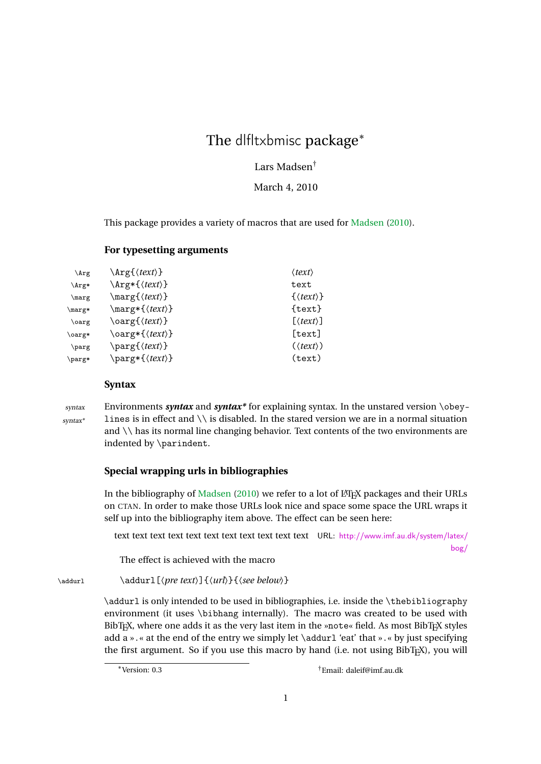# The dlfltxbmisc package<sup>\*</sup>

# Lars Madsen†

March 4, 2010

This package provides a variety of macros that are used for [Madsen](#page-1-0) [\(2010\)](#page-1-0).

## **For typesetting arguments**

| $\arg$                 | $\arg\{\langle text \rangle\}$  | $\langle text \rangle$     |
|------------------------|---------------------------------|----------------------------|
| \Arg*                  | $\arg*{\langle text \rangle}$   | text                       |
| \marg                  | $\langle \text{text} \rangle$   | $\{\langle text \rangle\}$ |
| $\n{\text{marg}}$      | $\langle \text{text} \rangle$ } | $\{texttext}$              |
| \oarg                  | $\text{\\sqrt{}$                | $[\langle text \rangle]$   |
| $\langle \text{oarg*}$ | $\text{\\sqrt{}$                | [text]                     |
| \parg                  | \parg{\text\}                   | $(\langle text \rangle)$   |
| \parg*                 | \parg*{\text\}                  | (text)                     |

## **Syntax**

syntax Environments *syntax* and *syntax\** for explaining syntax. In the unstared version \obey- $\frac{syntax^*}{\text{lines}}$  lines is in effect and  $\setminus \setminus$  is disabled. In the stared version we are in a normal situation and \\ has its normal line changing behavior. Text contents of the two environments are indented by \parindent.

# **Special wrapping urls in bibliographies**

In the bibliography of [Madsen](#page-1-0) [\(2010\)](#page-1-0) we refer to a lot of LATEX packages and their URLs on CTAN. In order to make those URLs look nice and space some space the URL wraps it self up into the bibliography item above. The effect can be seen here:

text text text text text text text text text text text URL: [http://www.imf.au.dk/system/latex/](http://www.imf.au.dk/system/latex/bog/) [bog/](http://www.imf.au.dk/system/latex/bog/)

The effect is achieved with the macro

\addurl \addurl[〈*pre text*〉]{〈*url*〉}{〈*see below*〉}

\addurl is only intended to be used in bibliographies, i.e. inside the \thebibliography environment (it uses \bibhang internally). The macro was created to be used with BibT<sub>E</sub>X, where one adds it as the very last item in the »note« field. As most BibT<sub>E</sub>X styles add a ». « at the end of the entry we simply let  $\addurl 'eat'$  that ». « by just specifying the first argument. So if you use this macro by hand (i.e. not using BibTFX), you will

<sup>∗</sup>Version: 0.3 †Email: daleif@imf.au.dk